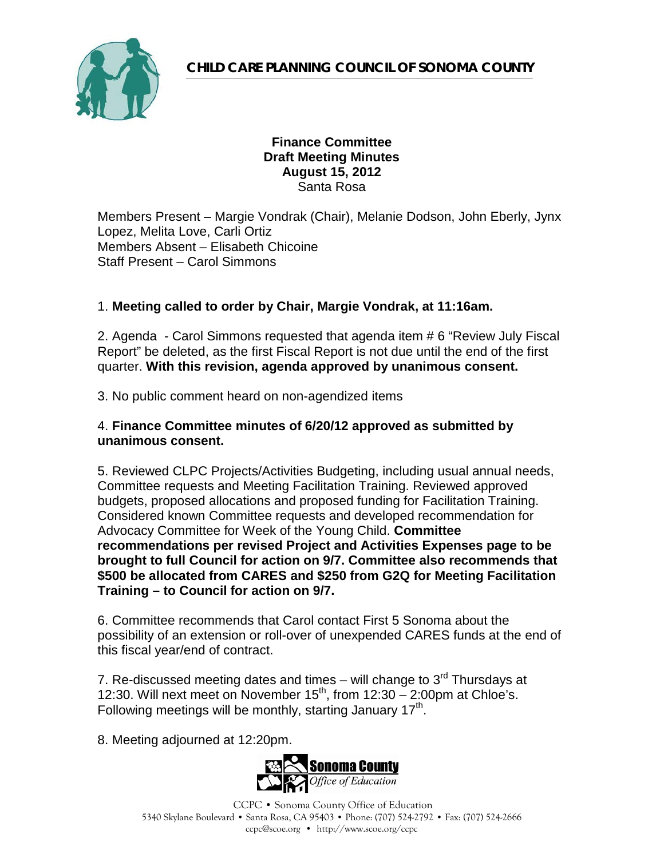

### **Finance Committee Draft Meeting Minutes August 15, 2012** Santa Rosa

Members Present – Margie Vondrak (Chair), Melanie Dodson, John Eberly, Jynx Lopez, Melita Love, Carli Ortiz Members Absent – Elisabeth Chicoine Staff Present – Carol Simmons

### 1. **Meeting called to order by Chair, Margie Vondrak, at 11:16am.**

2. Agenda - Carol Simmons requested that agenda item # 6 "Review July Fiscal Report" be deleted, as the first Fiscal Report is not due until the end of the first quarter. **With this revision, agenda approved by unanimous consent.**

3. No public comment heard on non-agendized items

#### 4. **Finance Committee minutes of 6/20/12 approved as submitted by unanimous consent.**

5. Reviewed CLPC Projects/Activities Budgeting, including usual annual needs, Committee requests and Meeting Facilitation Training. Reviewed approved budgets, proposed allocations and proposed funding for Facilitation Training. Considered known Committee requests and developed recommendation for Advocacy Committee for Week of the Young Child. **Committee recommendations per revised Project and Activities Expenses page to be brought to full Council for action on 9/7. Committee also recommends that \$500 be allocated from CARES and \$250 from G2Q for Meeting Facilitation Training – to Council for action on 9/7.**

6. Committee recommends that Carol contact First 5 Sonoma about the possibility of an extension or roll-over of unexpended CARES funds at the end of this fiscal year/end of contract.

7. Re-discussed meeting dates and times – will change to  $3<sup>rd</sup>$  Thursdays at 12:30. Will next meet on November  $15<sup>th</sup>$ , from  $12:30 - 2:00$ pm at Chloe's. Following meetings will be monthly, starting January  $17<sup>th</sup>$ .

8. Meeting adjourned at 12:20pm.

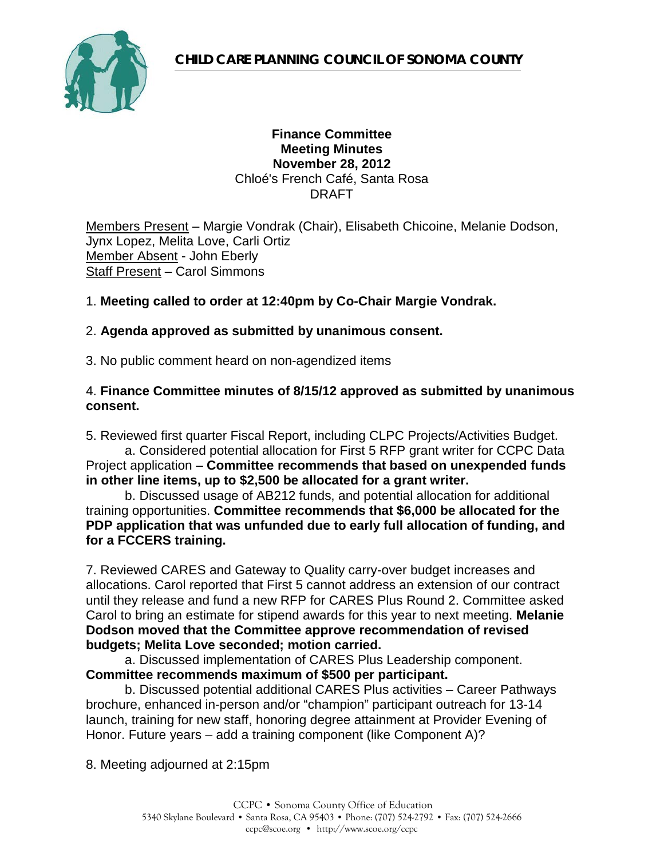

#### **Finance Committee Meeting Minutes November 28, 2012** Chloé's French Café, Santa Rosa DRAFT

Members Present – Margie Vondrak (Chair), Elisabeth Chicoine, Melanie Dodson, Jynx Lopez, Melita Love, Carli Ortiz Member Absent - John Eberly Staff Present – Carol Simmons

### 1. **Meeting called to order at 12:40pm by Co-Chair Margie Vondrak.**

### 2. **Agenda approved as submitted by unanimous consent.**

3. No public comment heard on non-agendized items

#### 4. **Finance Committee minutes of 8/15/12 approved as submitted by unanimous consent.**

5. Reviewed first quarter Fiscal Report, including CLPC Projects/Activities Budget.

a. Considered potential allocation for First 5 RFP grant writer for CCPC Data Project application – **Committee recommends that based on unexpended funds in other line items, up to \$2,500 be allocated for a grant writer.**

b. Discussed usage of AB212 funds, and potential allocation for additional training opportunities. **Committee recommends that \$6,000 be allocated for the PDP application that was unfunded due to early full allocation of funding, and for a FCCERS training.**

7. Reviewed CARES and Gateway to Quality carry-over budget increases and allocations. Carol reported that First 5 cannot address an extension of our contract until they release and fund a new RFP for CARES Plus Round 2. Committee asked Carol to bring an estimate for stipend awards for this year to next meeting. **Melanie Dodson moved that the Committee approve recommendation of revised budgets; Melita Love seconded; motion carried.**

a. Discussed implementation of CARES Plus Leadership component. **Committee recommends maximum of \$500 per participant.**

b. Discussed potential additional CARES Plus activities – Career Pathways brochure, enhanced in-person and/or "champion" participant outreach for 13-14 launch, training for new staff, honoring degree attainment at Provider Evening of Honor. Future years – add a training component (like Component A)?

8. Meeting adjourned at 2:15pm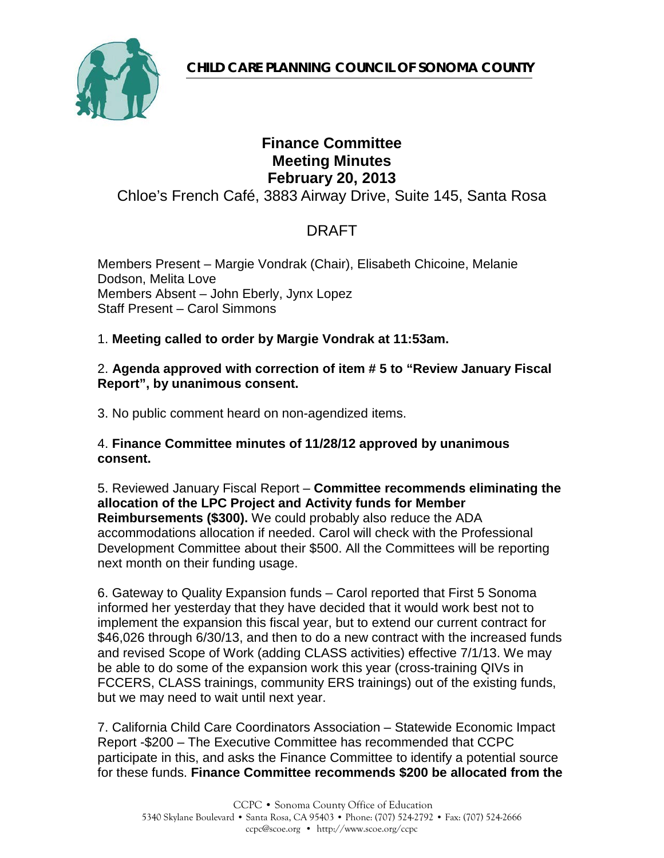# **Finance Committee Meeting Minutes February 20, 2013**

Chloe's French Café, 3883 Airway Drive, Suite 145, Santa Rosa

# DRAFT

Members Present – Margie Vondrak (Chair), Elisabeth Chicoine, Melanie Dodson, Melita Love Members Absent – John Eberly, Jynx Lopez Staff Present – Carol Simmons

### 1. **Meeting called to order by Margie Vondrak at 11:53am.**

### 2. **Agenda approved with correction of item # 5 to "Review January Fiscal Report", by unanimous consent.**

3. No public comment heard on non-agendized items.

### 4. **Finance Committee minutes of 11/28/12 approved by unanimous consent.**

5. Reviewed January Fiscal Report – **Committee recommends eliminating the allocation of the LPC Project and Activity funds for Member Reimbursements (\$300).** We could probably also reduce the ADA accommodations allocation if needed. Carol will check with the Professional Development Committee about their \$500. All the Committees will be reporting next month on their funding usage.

6. Gateway to Quality Expansion funds – Carol reported that First 5 Sonoma informed her yesterday that they have decided that it would work best not to implement the expansion this fiscal year, but to extend our current contract for \$46,026 through 6/30/13, and then to do a new contract with the increased funds and revised Scope of Work (adding CLASS activities) effective 7/1/13. We may be able to do some of the expansion work this year (cross-training QIVs in FCCERS, CLASS trainings, community ERS trainings) out of the existing funds, but we may need to wait until next year.

7. California Child Care Coordinators Association – Statewide Economic Impact Report -\$200 – The Executive Committee has recommended that CCPC participate in this, and asks the Finance Committee to identify a potential source for these funds. **Finance Committee recommends \$200 be allocated from the**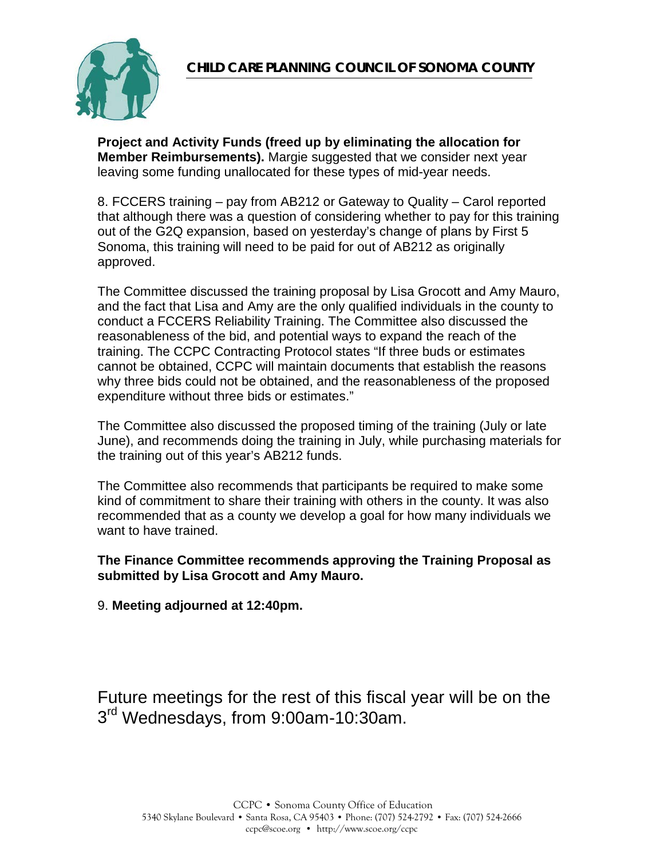

**Project and Activity Funds (freed up by eliminating the allocation for Member Reimbursements).** Margie suggested that we consider next year leaving some funding unallocated for these types of mid-year needs.

8. FCCERS training – pay from AB212 or Gateway to Quality – Carol reported that although there was a question of considering whether to pay for this training out of the G2Q expansion, based on yesterday's change of plans by First 5 Sonoma, this training will need to be paid for out of AB212 as originally approved.

The Committee discussed the training proposal by Lisa Grocott and Amy Mauro, and the fact that Lisa and Amy are the only qualified individuals in the county to conduct a FCCERS Reliability Training. The Committee also discussed the reasonableness of the bid, and potential ways to expand the reach of the training. The CCPC Contracting Protocol states "If three buds or estimates cannot be obtained, CCPC will maintain documents that establish the reasons why three bids could not be obtained, and the reasonableness of the proposed expenditure without three bids or estimates."

The Committee also discussed the proposed timing of the training (July or late June), and recommends doing the training in July, while purchasing materials for the training out of this year's AB212 funds.

The Committee also recommends that participants be required to make some kind of commitment to share their training with others in the county. It was also recommended that as a county we develop a goal for how many individuals we want to have trained.

#### **The Finance Committee recommends approving the Training Proposal as submitted by Lisa Grocott and Amy Mauro.**

9. **Meeting adjourned at 12:40pm.**

Future meetings for the rest of this fiscal year will be on the 3<sup>rd</sup> Wednesdays, from 9:00am-10:30am.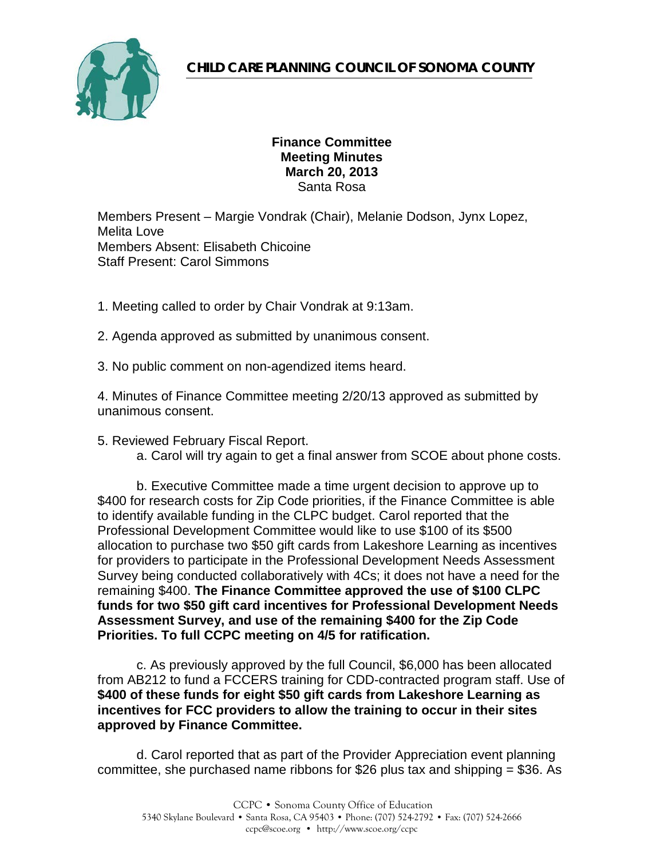

### **Finance Committee Meeting Minutes March 20, 2013** Santa Rosa

Members Present – Margie Vondrak (Chair), Melanie Dodson, Jynx Lopez, Melita Love Members Absent: Elisabeth Chicoine Staff Present: Carol Simmons

1. Meeting called to order by Chair Vondrak at 9:13am.

2. Agenda approved as submitted by unanimous consent.

3. No public comment on non-agendized items heard.

4. Minutes of Finance Committee meeting 2/20/13 approved as submitted by unanimous consent.

- 5. Reviewed February Fiscal Report.
	- a. Carol will try again to get a final answer from SCOE about phone costs.

b. Executive Committee made a time urgent decision to approve up to \$400 for research costs for Zip Code priorities, if the Finance Committee is able to identify available funding in the CLPC budget. Carol reported that the Professional Development Committee would like to use \$100 of its \$500 allocation to purchase two \$50 gift cards from Lakeshore Learning as incentives for providers to participate in the Professional Development Needs Assessment Survey being conducted collaboratively with 4Cs; it does not have a need for the remaining \$400. **The Finance Committee approved the use of \$100 CLPC funds for two \$50 gift card incentives for Professional Development Needs Assessment Survey, and use of the remaining \$400 for the Zip Code Priorities. To full CCPC meeting on 4/5 for ratification.**

c. As previously approved by the full Council, \$6,000 has been allocated from AB212 to fund a FCCERS training for CDD-contracted program staff. Use of **\$400 of these funds for eight \$50 gift cards from Lakeshore Learning as incentives for FCC providers to allow the training to occur in their sites approved by Finance Committee.**

d. Carol reported that as part of the Provider Appreciation event planning committee, she purchased name ribbons for \$26 plus tax and shipping = \$36. As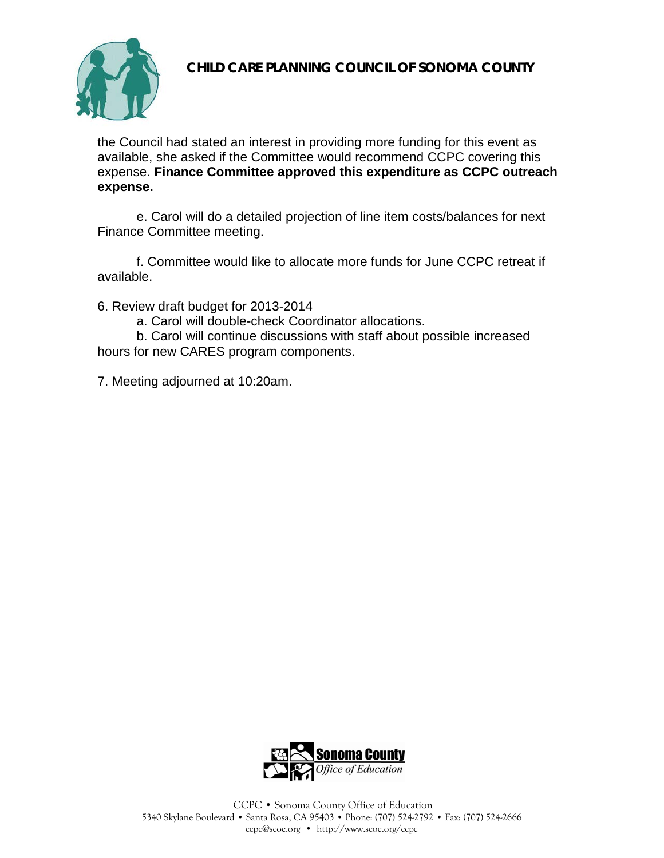

the Council had stated an interest in providing more funding for this event as available, she asked if the Committee would recommend CCPC covering this expense. **Finance Committee approved this expenditure as CCPC outreach expense.**

e. Carol will do a detailed projection of line item costs/balances for next Finance Committee meeting.

f. Committee would like to allocate more funds for June CCPC retreat if available.

6. Review draft budget for 2013-2014

a. Carol will double-check Coordinator allocations.

b. Carol will continue discussions with staff about possible increased hours for new CARES program components.

7. Meeting adjourned at 10:20am.

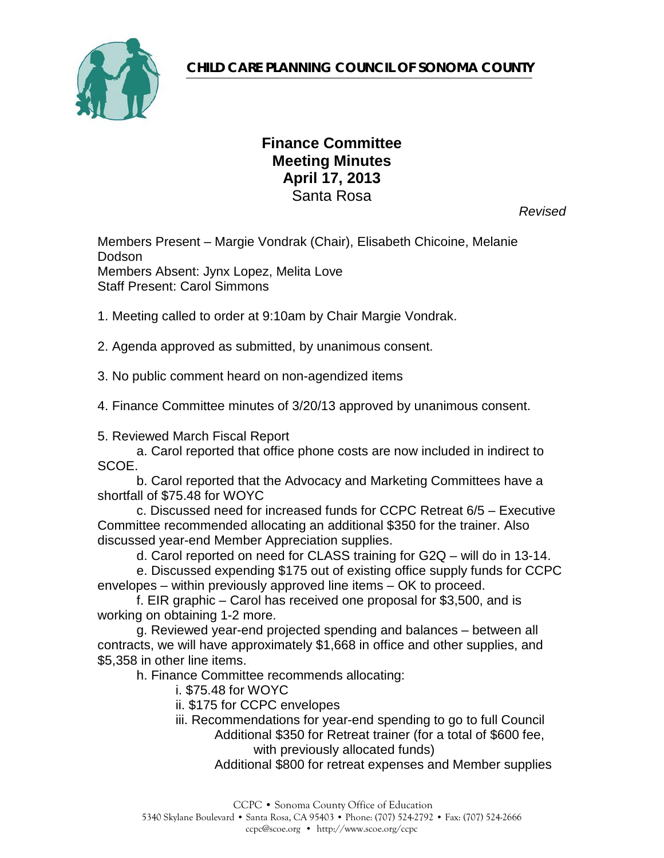

## **Finance Committee Meeting Minutes April 17, 2013** Santa Rosa

*Revised*

Members Present – Margie Vondrak (Chair), Elisabeth Chicoine, Melanie Dodson Members Absent: Jynx Lopez, Melita Love Staff Present: Carol Simmons

1. Meeting called to order at 9:10am by Chair Margie Vondrak.

2. Agenda approved as submitted, by unanimous consent.

3. No public comment heard on non-agendized items

4. Finance Committee minutes of 3/20/13 approved by unanimous consent.

5. Reviewed March Fiscal Report

a. Carol reported that office phone costs are now included in indirect to SCOE.

b. Carol reported that the Advocacy and Marketing Committees have a shortfall of \$75.48 for WOYC

c. Discussed need for increased funds for CCPC Retreat 6/5 – Executive Committee recommended allocating an additional \$350 for the trainer. Also discussed year-end Member Appreciation supplies.

d. Carol reported on need for CLASS training for G2Q – will do in 13-14.

e. Discussed expending \$175 out of existing office supply funds for CCPC envelopes – within previously approved line items – OK to proceed.

f. EIR graphic – Carol has received one proposal for \$3,500, and is working on obtaining 1-2 more.

g. Reviewed year-end projected spending and balances – between all contracts, we will have approximately \$1,668 in office and other supplies, and \$5,358 in other line items.

h. Finance Committee recommends allocating:

i. \$75.48 for WOYC

ii. \$175 for CCPC envelopes

iii. Recommendations for year-end spending to go to full Council Additional \$350 for Retreat trainer (for a total of \$600 fee, with previously allocated funds)

Additional \$800 for retreat expenses and Member supplies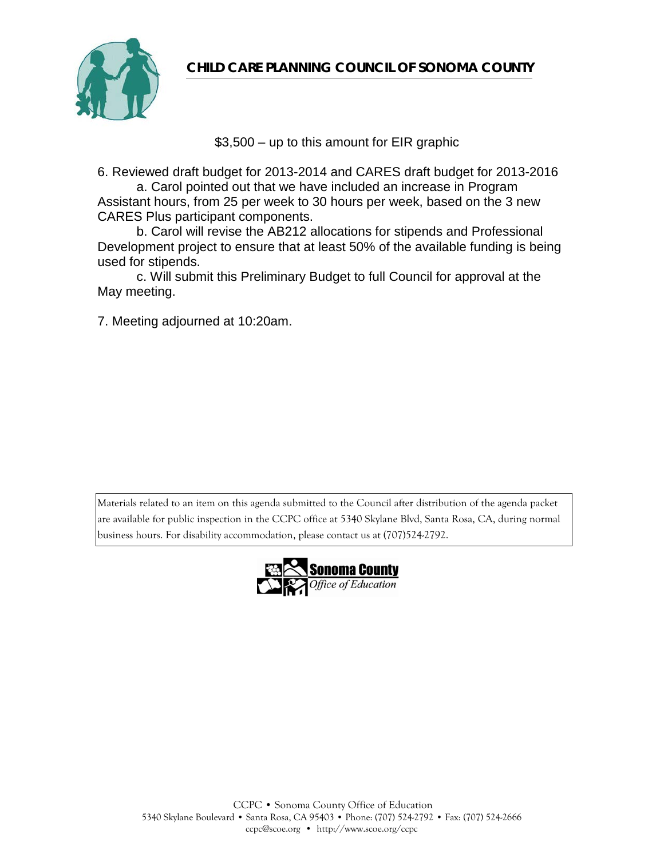**CHILD CARE PLANNING COUNCIL OF SONOMA COUNTY** 



\$3,500 – up to this amount for EIR graphic

6. Reviewed draft budget for 2013-2014 and CARES draft budget for 2013-2016

a. Carol pointed out that we have included an increase in Program Assistant hours, from 25 per week to 30 hours per week, based on the 3 new CARES Plus participant components.

b. Carol will revise the AB212 allocations for stipends and Professional Development project to ensure that at least 50% of the available funding is being used for stipends.

c. Will submit this Preliminary Budget to full Council for approval at the May meeting.

7. Meeting adjourned at 10:20am.

Materials related to an item on this agenda submitted to the Council after distribution of the agenda packet are available for public inspection in the CCPC office at 5340 Skylane Blvd, Santa Rosa, CA, during normal business hours. For disability accommodation, please contact us at (707)524-2792.

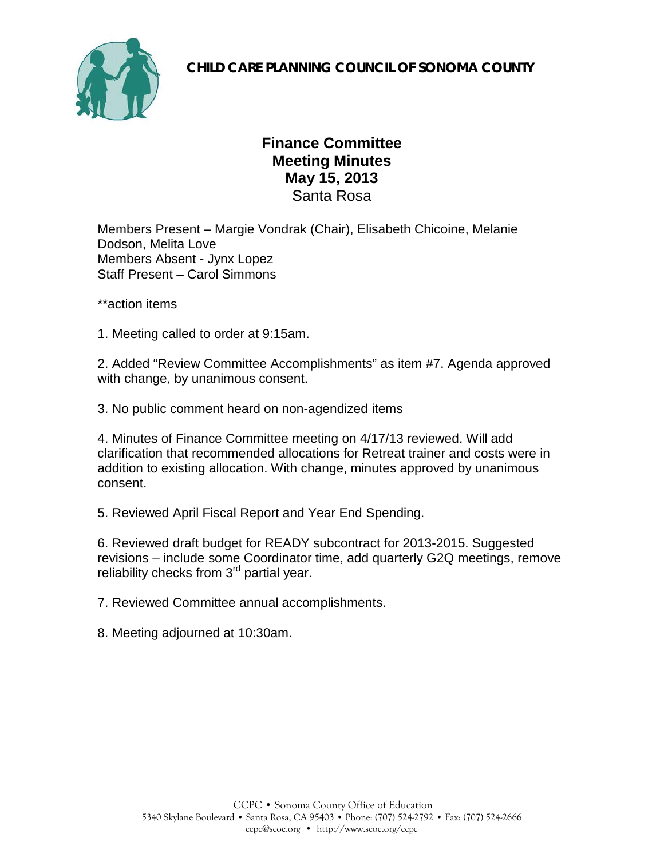

## **Finance Committee Meeting Minutes May 15, 2013** Santa Rosa

Members Present – Margie Vondrak (Chair), Elisabeth Chicoine, Melanie Dodson, Melita Love Members Absent - Jynx Lopez Staff Present – Carol Simmons

\*\*action items

1. Meeting called to order at 9:15am.

2. Added "Review Committee Accomplishments" as item #7. Agenda approved with change, by unanimous consent.

3. No public comment heard on non-agendized items

4. Minutes of Finance Committee meeting on 4/17/13 reviewed. Will add clarification that recommended allocations for Retreat trainer and costs were in addition to existing allocation. With change, minutes approved by unanimous consent.

5. Reviewed April Fiscal Report and Year End Spending.

6. Reviewed draft budget for READY subcontract for 2013-2015. Suggested revisions – include some Coordinator time, add quarterly G2Q meetings, remove reliability checks from 3<sup>rd</sup> partial year.

7. Reviewed Committee annual accomplishments.

8. Meeting adjourned at 10:30am.